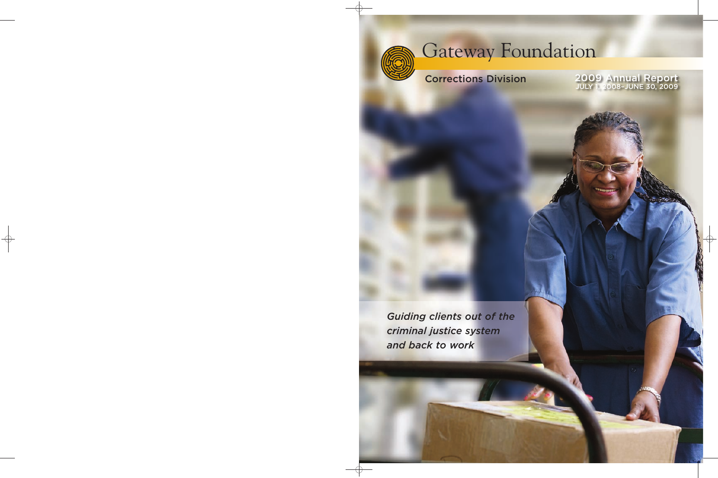

# Gateway Foundation

# Corrections Division

2009 Annual Report JULY 1, 2008–JUNE 30, 2009

*Guiding clients out of the criminal justice system and back to work*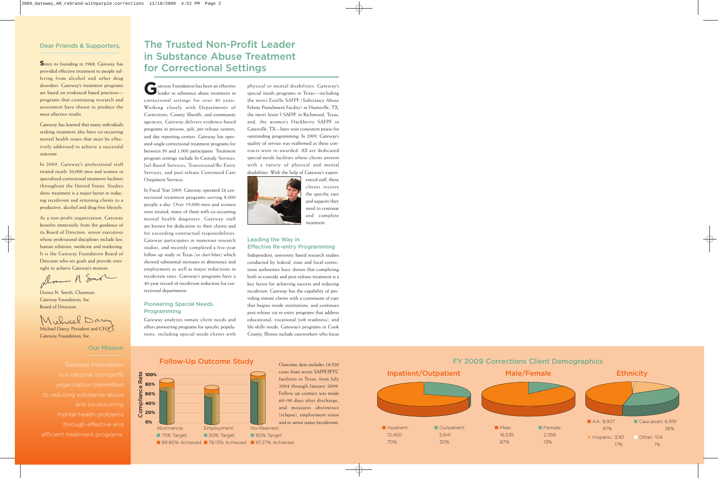#### Dear Friends & Supporters,

**S**ince its founding in 1968, Gateway has provided effective treatment to people suffering from alcohol and other drug disorders. Gateway's treatment programs are based on evidenced based practices programs that continuing research and assessment have shown to produce the most effective results.

Gateway has learned that many individuals seeking treatment also have co-occurring mental health issues that must be effectively addressed to achieve a successful outcome.

In 2009, Gateway's professional staff treated nearly 20,000 men and women in specialized correctional treatment facilities throughout the United States. Studies show treatment is a major factor in reducing recidivism and returning clients to a productive, alcohol and drug-free lifestyle.

As a non-profit organization, Gateway benefits immensely from the guidance of its Board of Directors: senior executives whose professional disciplines include law, human relations, medicine and marketing. It is the Gateway Foundation Board of Directors who set goals and provide over-

sight to achieve Gateway's mission.<br>Amm - A Smo

Donna N. Smith, Chairman Gateway Foundation, Inc. Board of Directors

Michael Dary

Michael Darcy, President and CEO Gateway Foundation, Inc.

#### Our Mission

to reducing substance abuse and co-occurring mental health problems through effective and efficient treatment programs.

# The Trusted Non-Profit Leader in Substance Abuse Treatment for Correctional Settings

**G**ateway Foundation has been an effective leader in substance abuse treatment in correctional settings for over 40 years. Working closely with Departments of Corrections, County Sheriffs, and community agencies, Gateway delivers evidence-based programs in prisons, jails, pre-release centers, and day reporting centers. Gateway has operated single correctional treatment programs for between 50 and 1,000 participants. Treatment program settings include In-Custody Services, Jail-Based Services, Transitional/Re-Entry Services, and post-release Continued Care Outpatient Services.

In Fiscal Year 2009, Gateway operated 26 correctional treatment programs serving 8,000 people a day. Over 19,000 men and women were treated, many of them with co-occurring mental health diagnoses. Gateway staff are known for dedication to their clients and for exceeding contractual responsibilities. Gateway participates in numerous research studies, and recently completed a five-year follow up study in Texas *(see chart below)* which showed substantial increases in abstinence and employment as well as major reductions in recidivism rates. Gateway's programs have a 40-year record of recidivism reduction for correctional departments.

#### Pioneering Special Needs Programming

Gateway analyzes inmate client needs and offers pioneering programs for specific populations, including special needs clients with physical or mental disabilities. Gateway's special needs programs in Texas—including the men's Estelle SAFPF (Substance Abuse Felony Punishment Facility) in Huntsville, TX; the men's Jester I SAFPF in Richmond, Texas; and, the women's Hackberry SAFPF in Gatesville, TX—have won consistent praise for outstanding programming. In 2009, Gateway's quality of service was reaffirmed as these contracts were re-awarded. All are dedicated special-needs facilities whose clients present with a variety of physical and mental disabilities. With the help of Gateway's experi-



enced staff, these clients receive the specific care and support they need to continue and complete treatment.

#### Leading the Way in Effective Re-entry Programming

Independent, university based research studies conducted by federal, state and local corrections authorities have shown that completing both in-custody and post-release treatment is a key factor for achieving success and reducing recidivism. Gateway has the capability of providing inmate clients with a continuum of care that begins inside institutions, and continues post-release via re-entry programs that address educational, vocational (job readiness), and life-skills needs. Gateway's programs in Cook County, Illinois include caseworkers who focus



Follow-Up Outcome Study

Outcome data includes 18,920 cases from seven SAFPF/IPTC facilities in Texas, from July 2004 through January 2009. Follow up contact was made 60–90 days after discharge, and measures abstinence (relapse), employment status and re-arrest status (recidivism).

No-Rearrest: ■ 90% Target ■ 97.27% Achieved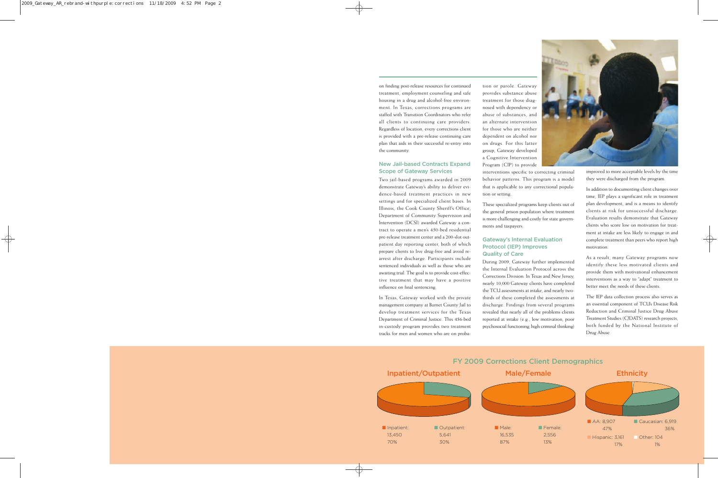on finding post-release resources for continued treatment, employment counseling and safe housing in a drug and alcohol-free environment. In Texas, corrections programs are staffed with Transition Coordinators who refer all clients to continuing care providers. Regardless of location, every corrections client is provided with a pre-release continuing care plan that aids in their successful re-entry into the community.

#### New Jail-based Contracts Expand Scope of Gateway Services

Two jail-based programs awarded in 2009 demonstrate Gateway's ability to deliver evidence-based treatment practices in new settings and for specialized client bases. In Illinois, the Cook County Sheriff's Office, Department of Community Supervision and Intervention (DCSI) awarded Gateway a contract to operate a men's 450-bed residential pre-release treatment center and a 200-slot outpatient day reporting center, both of which prepare clients to live drug-free and avoid rearrest after discharge. Participants include sentenced individuals as well as those who are awaiting trial. The goal is to provide cost-effective treatment that may have a positive influence on final sentencing.

In Texas, Gateway worked with the private management company at Burnet County Jail to develop treatment services for the Texas Department of Criminal Justice. This 456-bed in-custody program provides two treatment tracks for men and women who are on probation or parole. Gateway provides substance abuse treatment for those diagnosed with dependency or abuse of substances, and an alternate intervention for those who are neither dependent on alcohol nor on drugs. For this latter group, Gateway developed a Cognitive Intervention Program (CIP) to provide

interventions specific to correcting criminal behavior patterns. This program is a model that is applicable to any correctional population or setting.

These specialized programs keep clients out of the general prison population where treatment is more challenging and costly for state governments and taxpayers.

#### Gateway's Internal Evaluation Protocol (IEP) Improves Quality of Care

During 2009, Gateway further implemented the Internal Evaluation Protocol across the Corrections Division. In Texas and New Jersey, nearly 10,000 Gateway clients have completed the TCU assessments at intake, and nearly twothirds of these completed the assessments at discharge. Findings from several programs revealed that nearly all of the problems clients reported at intake (e.g., low motivation, poor psychosocial functioning, high criminal thinking)



improved to more acceptable levels by the time they were discharged from the program.

In addition to documenting client changes over time, IEP plays a significant role in treatment plan development, and is a means to identify clients at risk for unsuccessful discharge. Evaluation results demonstrate that Gateway clients who score low on motivation for treatment at intake are less likely to engage in and complete treatment than peers who report high motivation.

As a result, many Gateway programs now identify these less motivated clients and provide them with motivational enhancement interventions as a way to "adapt" treatment to better meet the needs of these clients.

The IEP data collection process also serves as an essential component of TCU's Disease Risk Reduction and Criminal Justice Drug Abuse Treatment Studies (CJDATS) research projects, both funded by the National Institute of Drug Abuse.